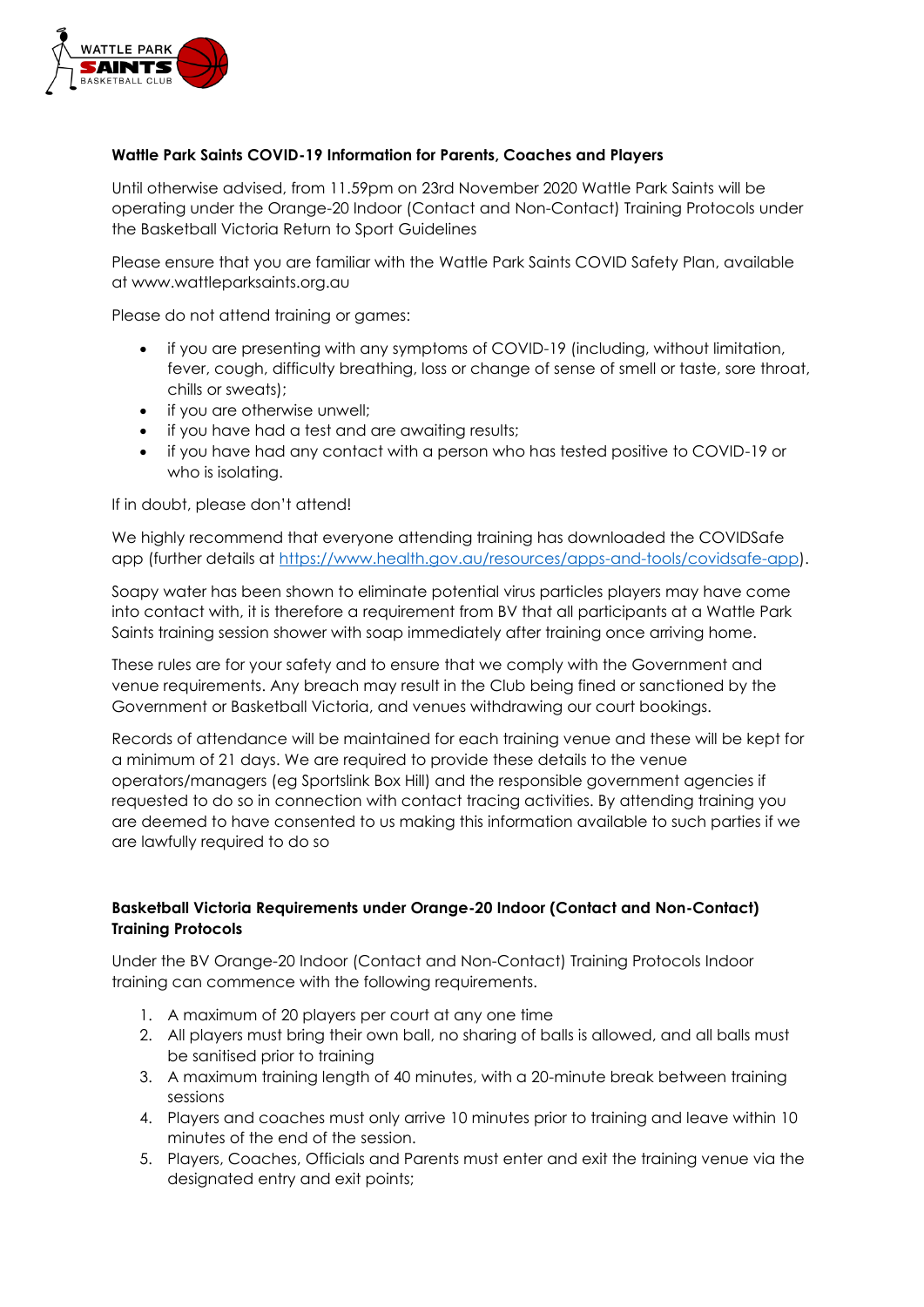

#### **Wattle Park Saints COVID-19 Information for Parents, Coaches and Players**

Until otherwise advised, from 11.59pm on 23rd November 2020 Wattle Park Saints will be operating under the Orange-20 Indoor (Contact and Non-Contact) Training Protocols under the Basketball Victoria Return to Sport Guidelines

Please ensure that you are familiar with the Wattle Park Saints COVID Safety Plan, available at www.wattleparksaints.org.au

Please do not attend training or games:

- if you are presenting with any symptoms of COVID-19 (including, without limitation, fever, cough, difficulty breathing, loss or change of sense of smell or taste, sore throat, chills or sweats);
- if you are otherwise unwell:
- if you have had a test and are awaiting results;
- if you have had any contact with a person who has tested positive to COVID-19 or who is isolating.

#### If in doubt, please don't attend!

We highly recommend that everyone attending training has downloaded the COVIDSafe app (further details at [https://www.health.gov.au/resources/apps-and-tools/covidsafe-app\)](https://www.health.gov.au/resources/apps-and-tools/covidsafe-app).

Soapy water has been shown to eliminate potential virus particles players may have come into contact with, it is therefore a requirement from BV that all participants at a Wattle Park Saints training session shower with soap immediately after training once arriving home.

These rules are for your safety and to ensure that we comply with the Government and venue requirements. Any breach may result in the Club being fined or sanctioned by the Government or Basketball Victoria, and venues withdrawing our court bookings.

Records of attendance will be maintained for each training venue and these will be kept for a minimum of 21 days. We are required to provide these details to the venue operators/managers (eg Sportslink Box Hill) and the responsible government agencies if requested to do so in connection with contact tracing activities. By attending training you are deemed to have consented to us making this information available to such parties if we are lawfully required to do so

#### **Basketball Victoria Requirements under Orange-20 Indoor (Contact and Non-Contact) Training Protocols**

Under the BV Orange-20 Indoor (Contact and Non-Contact) Training Protocols Indoor training can commence with the following requirements.

- 1. A maximum of 20 players per court at any one time
- 2. All players must bring their own ball, no sharing of balls is allowed, and all balls must be sanitised prior to training
- 3. A maximum training length of 40 minutes, with a 20-minute break between training sessions
- 4. Players and coaches must only arrive 10 minutes prior to training and leave within 10 minutes of the end of the session.
- 5. Players, Coaches, Officials and Parents must enter and exit the training venue via the designated entry and exit points;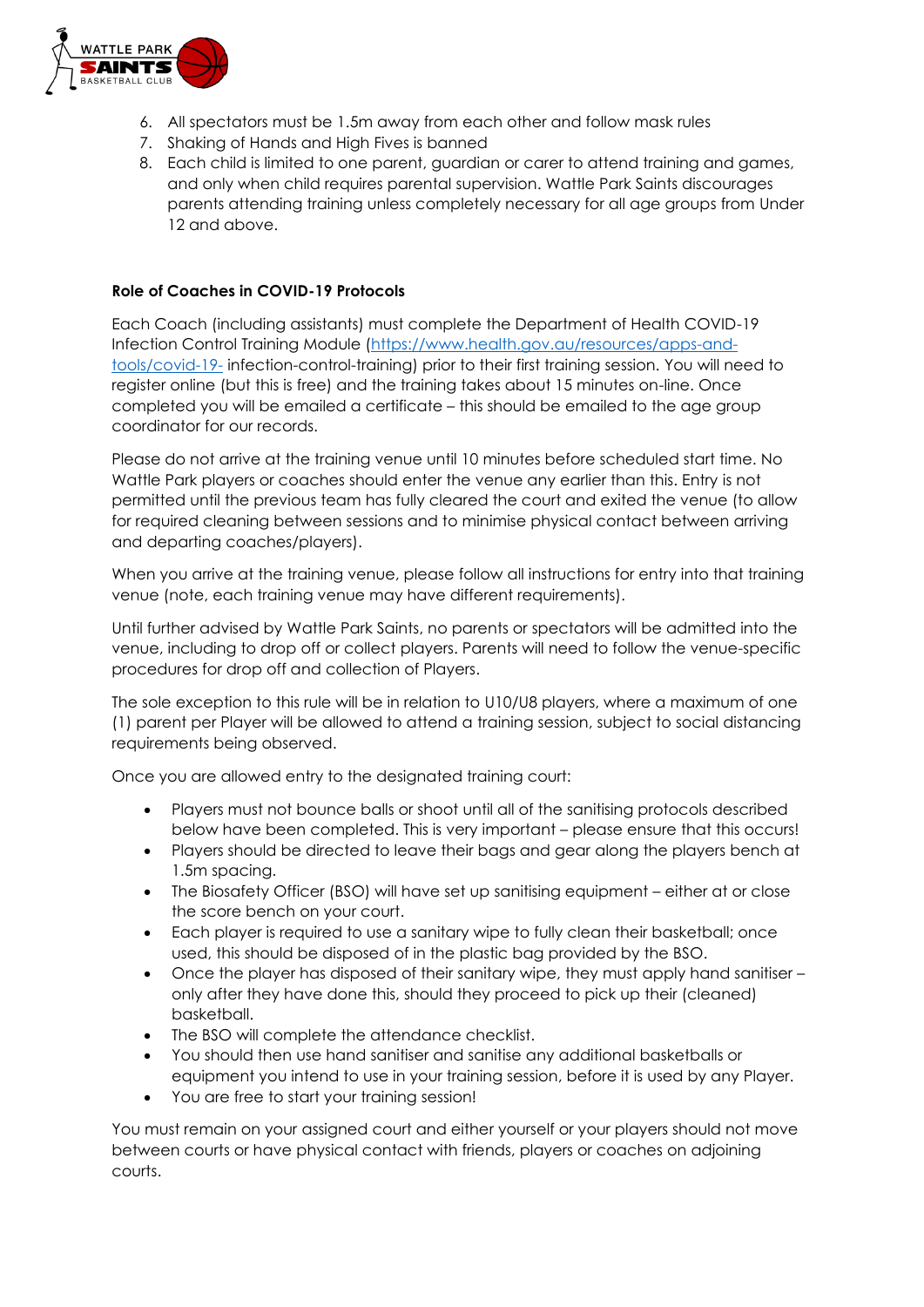

- 6. All spectators must be 1.5m away from each other and follow mask rules
- 7. Shaking of Hands and High Fives is banned
- 8. Each child is limited to one parent, guardian or carer to attend training and games, and only when child requires parental supervision. Wattle Park Saints discourages parents attending training unless completely necessary for all age groups from Under 12 and above.

#### **Role of Coaches in COVID-19 Protocols**

Each Coach (including assistants) must complete the Department of Health COVID-19 Infection Control Training Module [\(https://www.health.gov.au/resources/apps-and](https://www.health.gov.au/resources/apps-and-tools/covid-19-)[tools/covid-19-](https://www.health.gov.au/resources/apps-and-tools/covid-19-) infection-control-training) prior to their first training session. You will need to register online (but this is free) and the training takes about 15 minutes on-line. Once completed you will be emailed a certificate – this should be emailed to the age group coordinator for our records.

Please do not arrive at the training venue until 10 minutes before scheduled start time. No Wattle Park players or coaches should enter the venue any earlier than this. Entry is not permitted until the previous team has fully cleared the court and exited the venue (to allow for required cleaning between sessions and to minimise physical contact between arriving and departing coaches/players).

When you arrive at the training venue, please follow all instructions for entry into that training venue (note, each training venue may have different requirements).

Until further advised by Wattle Park Saints, no parents or spectators will be admitted into the venue, including to drop off or collect players. Parents will need to follow the venue-specific procedures for drop off and collection of Players.

The sole exception to this rule will be in relation to U10/U8 players, where a maximum of one (1) parent per Player will be allowed to attend a training session, subject to social distancing requirements being observed.

Once you are allowed entry to the designated training court:

- Players must not bounce balls or shoot until all of the sanitising protocols described below have been completed. This is very important – please ensure that this occurs!
- Players should be directed to leave their bags and gear along the players bench at 1.5m spacing.
- The Biosafety Officer (BSO) will have set up sanitising equipment either at or close the score bench on your court.
- Each player is required to use a sanitary wipe to fully clean their basketball; once used, this should be disposed of in the plastic bag provided by the BSO.
- Once the player has disposed of their sanitary wipe, they must apply hand sanitiser only after they have done this, should they proceed to pick up their (cleaned) basketball.
- The BSO will complete the attendance checklist.
- You should then use hand sanitiser and sanitise any additional basketballs or equipment you intend to use in your training session, before it is used by any Player.
- You are free to start your training session!

You must remain on your assigned court and either yourself or your players should not move between courts or have physical contact with friends, players or coaches on adjoining courts.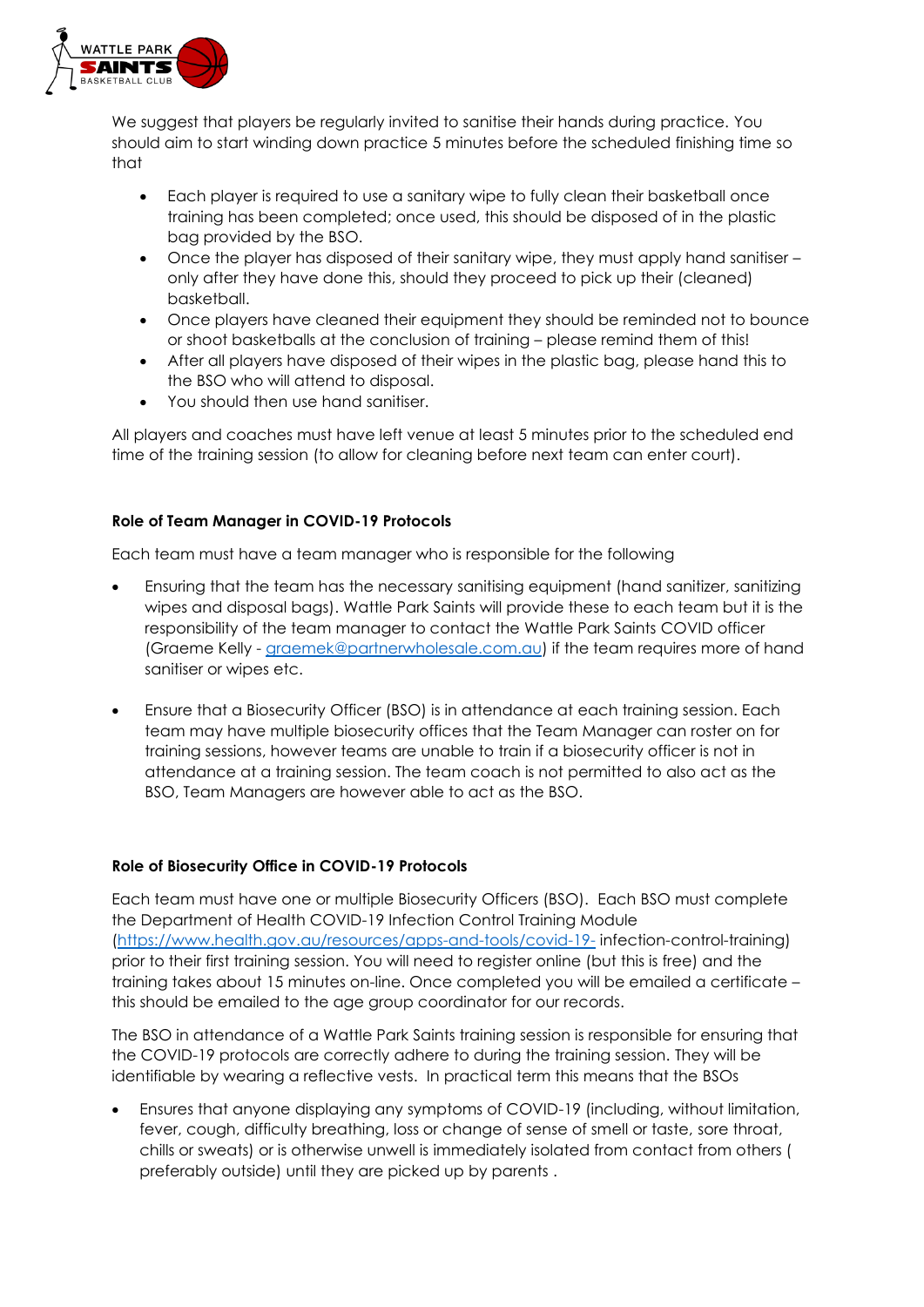

We suggest that players be regularly invited to sanitise their hands during practice. You should aim to start winding down practice 5 minutes before the scheduled finishing time so that

- Each player is required to use a sanitary wipe to fully clean their basketball once training has been completed; once used, this should be disposed of in the plastic bag provided by the BSO.
- Once the player has disposed of their sanitary wipe, they must apply hand sanitiser only after they have done this, should they proceed to pick up their (cleaned) basketball.
- Once players have cleaned their equipment they should be reminded not to bounce or shoot basketballs at the conclusion of training – please remind them of this!
- After all players have disposed of their wipes in the plastic bag, please hand this to the BSO who will attend to disposal.
- You should then use hand sanitiser.

All players and coaches must have left venue at least 5 minutes prior to the scheduled end time of the training session (to allow for cleaning before next team can enter court).

## **Role of Team Manager in COVID-19 Protocols**

Each team must have a team manager who is responsible for the following

- Ensuring that the team has the necessary sanitising equipment (hand sanitizer, sanitizing wipes and disposal bags). Wattle Park Saints will provide these to each team but it is the responsibility of the team manager to contact the Wattle Park Saints COVID officer (Graeme Kelly - [graemek@partnerwholesale.com.au\)](mailto:graemek@partnerwholesale.com.au) if the team requires more of hand sanitiser or wipes etc.
- Ensure that a Biosecurity Officer (BSO) is in attendance at each training session. Each team may have multiple biosecurity offices that the Team Manager can roster on for training sessions, however teams are unable to train if a biosecurity officer is not in attendance at a training session. The team coach is not permitted to also act as the BSO, Team Managers are however able to act as the BSO.

#### **Role of Biosecurity Office in COVID-19 Protocols**

Each team must have one or multiple Biosecurity Officers (BSO). Each BSO must complete the Department of Health COVID-19 Infection Control Training Module [\(https://www.health.gov.au/resources/apps-and-tools/covid-19-](https://www.health.gov.au/resources/apps-and-tools/covid-19-) infection-control-training) prior to their first training session. You will need to register online (but this is free) and the training takes about 15 minutes on-line. Once completed you will be emailed a certificate – this should be emailed to the age group coordinator for our records.

The BSO in attendance of a Wattle Park Saints training session is responsible for ensuring that the COVID-19 protocols are correctly adhere to during the training session. They will be identifiable by wearing a reflective vests. In practical term this means that the BSOs

• Ensures that anyone displaying any symptoms of COVID-19 (including, without limitation, fever, cough, difficulty breathing, loss or change of sense of smell or taste, sore throat, chills or sweats) or is otherwise unwell is immediately isolated from contact from others ( preferably outside) until they are picked up by parents .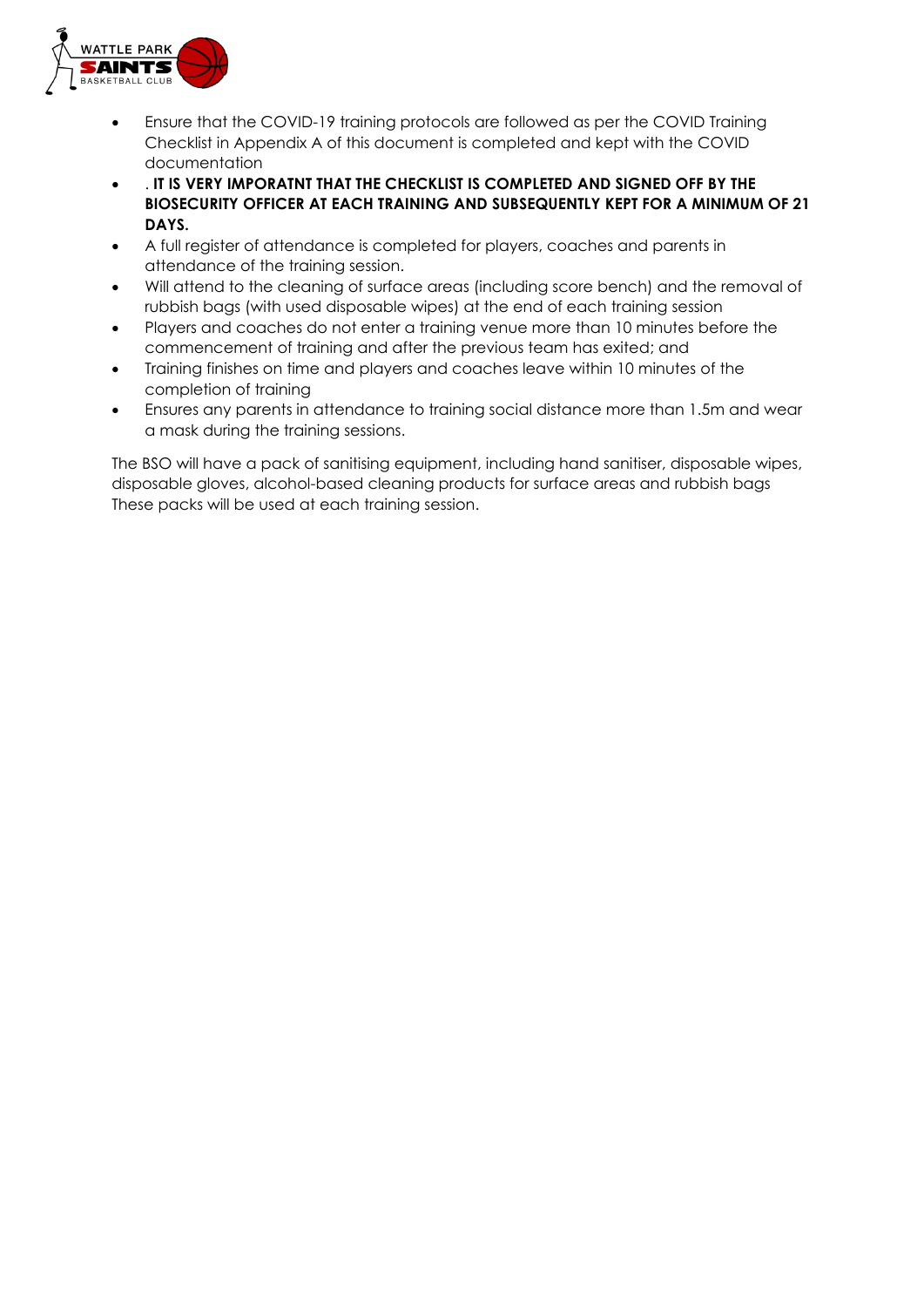

- Ensure that the COVID-19 training protocols are followed as per the COVID Training Checklist in Appendix A of this document is completed and kept with the COVID documentation
- . **IT IS VERY IMPORATNT THAT THE CHECKLIST IS COMPLETED AND SIGNED OFF BY THE BIOSECURITY OFFICER AT EACH TRAINING AND SUBSEQUENTLY KEPT FOR A MINIMUM OF 21 DAYS.**
- A full register of attendance is completed for players, coaches and parents in attendance of the training session.
- Will attend to the cleaning of surface areas (including score bench) and the removal of rubbish bags (with used disposable wipes) at the end of each training session
- Players and coaches do not enter a training venue more than 10 minutes before the commencement of training and after the previous team has exited; and
- Training finishes on time and players and coaches leave within 10 minutes of the completion of training
- Ensures any parents in attendance to training social distance more than 1.5m and wear a mask during the training sessions.

The BSO will have a pack of sanitising equipment, including hand sanitiser, disposable wipes, disposable gloves, alcohol-based cleaning products for surface areas and rubbish bags These packs will be used at each training session.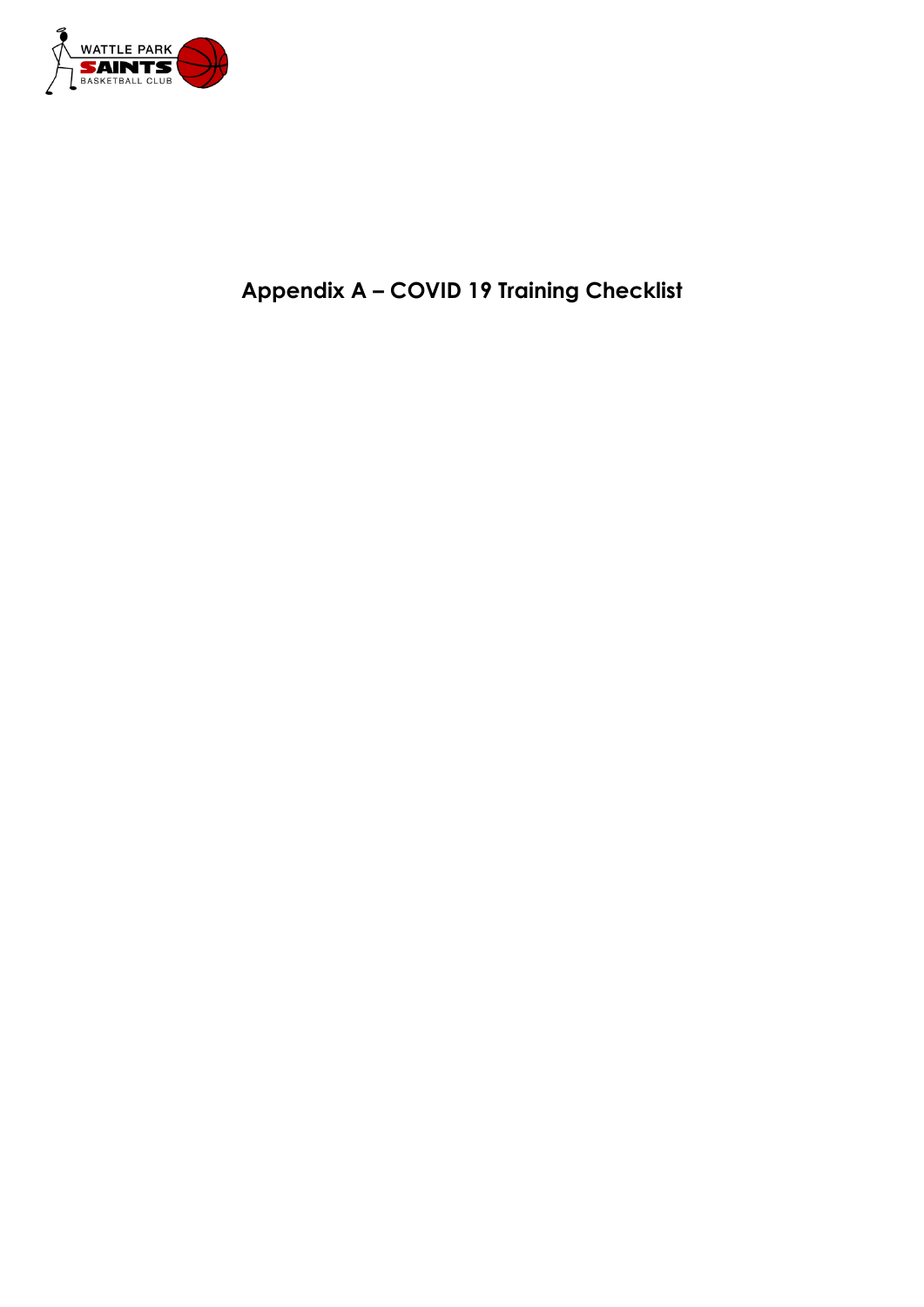

# **Appendix A – COVID 19 Training Checklist**